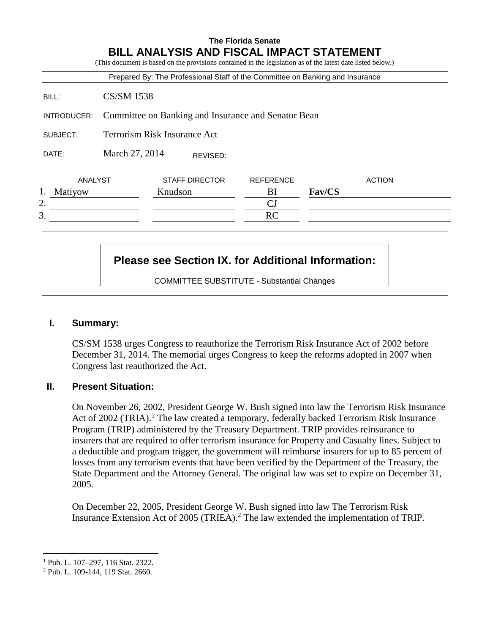|             |                                                     |         |                       | Prepared By: The Professional Staff of the Committee on Banking and Insurance |        |               |
|-------------|-----------------------------------------------------|---------|-----------------------|-------------------------------------------------------------------------------|--------|---------------|
| BILL:       | <b>CS/SM 1538</b>                                   |         |                       |                                                                               |        |               |
| INTRODUCER: | Committee on Banking and Insurance and Senator Bean |         |                       |                                                                               |        |               |
| SUBJECT:    | <b>Terrorism Risk Insurance Act</b>                 |         |                       |                                                                               |        |               |
| DATE:       | March 27, 2014                                      |         | REVISED:              |                                                                               |        |               |
| ANALYST     |                                                     |         | <b>STAFF DIRECTOR</b> | <b>REFERENCE</b>                                                              |        | <b>ACTION</b> |
| Matiyow     |                                                     | Knudson |                       | BI                                                                            | Fav/CS |               |
| 2.          |                                                     |         |                       | CJ                                                                            |        |               |
| 3.          |                                                     |         |                       | RC                                                                            |        |               |

# **Please see Section IX. for Additional Information:**

COMMITTEE SUBSTITUTE - Substantial Changes

#### **I. Summary:**

CS/SM 1538 urges Congress to reauthorize the Terrorism Risk Insurance Act of 2002 before December 31, 2014. The memorial urges Congress to keep the reforms adopted in 2007 when Congress last reauthorized the Act.

#### **II. Present Situation:**

On November 26, 2002, President George W. Bush signed into law the Terrorism Risk Insurance Act of 2002 (TRIA).<sup>1</sup> The law created a temporary, federally backed Terrorism Risk Insurance Program (TRIP) administered by the Treasury Department. TRIP provides reinsurance to insurers that are required to offer terrorism insurance for Property and Casualty lines. Subject to a deductible and program trigger, the government will reimburse insurers for up to 85 percent of losses from any terrorism events that have been verified by the Department of the Treasury, the State Department and the Attorney General. The original law was set to expire on December 31, 2005.

On December 22, 2005, President George W. Bush signed into law The Terrorism Risk Insurance Extension Act of 2005 (TRIEA).<sup>2</sup> The law extended the implementation of TRIP.

 $\overline{a}$ 

<sup>1</sup> Pub. L. 107–297, 116 Stat. 2322.

<sup>2</sup> Pub. L. 109-144, 119 Stat. 2660.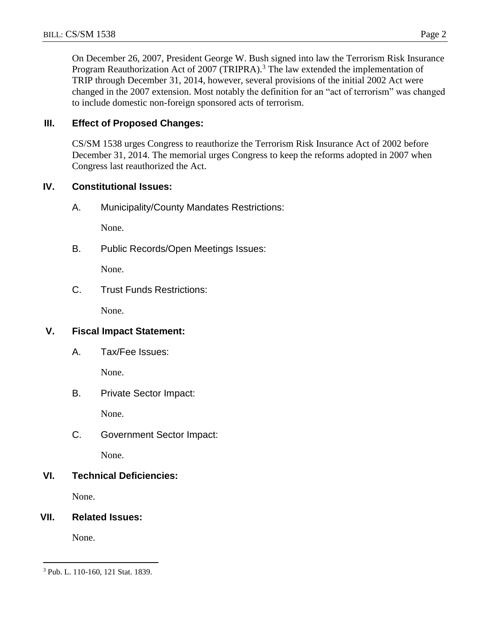On December 26, 2007, President George W. Bush signed into law the Terrorism Risk Insurance Program Reauthorization Act of 2007 (TRIPRA).<sup>3</sup> The law extended the implementation of TRIP through December 31, 2014, however, several provisions of the initial 2002 Act were changed in the 2007 extension. Most notably the definition for an "act of terrorism" was changed to include domestic non-foreign sponsored acts of terrorism.

## **III. Effect of Proposed Changes:**

CS/SM 1538 urges Congress to reauthorize the Terrorism Risk Insurance Act of 2002 before December 31, 2014. The memorial urges Congress to keep the reforms adopted in 2007 when Congress last reauthorized the Act.

## **IV. Constitutional Issues:**

A. Municipality/County Mandates Restrictions:

None.

B. Public Records/Open Meetings Issues:

None.

C. Trust Funds Restrictions:

None.

## **V. Fiscal Impact Statement:**

A. Tax/Fee Issues:

None.

B. Private Sector Impact:

None.

C. Government Sector Impact:

None.

# **VI. Technical Deficiencies:**

None.

# **VII. Related Issues:**

None.

 $\overline{a}$ 

<sup>3</sup> Pub. L. 110-160, 121 Stat. 1839.